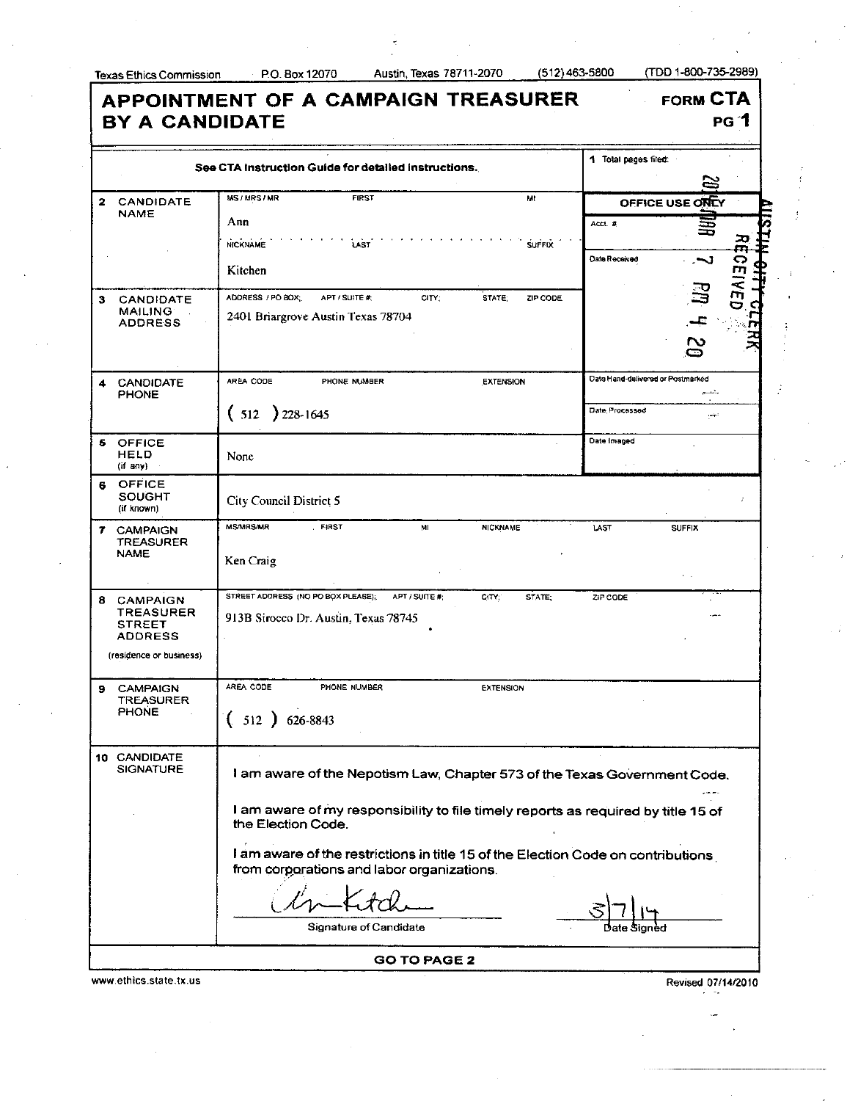2 CANDIDATE NAME

3 CANDIDATE MAILING ADDRESS

**BY A CANDIDATE** 

MS/MRS/MR

Ann NICKNAME Kitchen

ł

FIRST

**LAST** 

**APPOINTMENT OF A CAMPAIGN TREASURER FORM CTA PG 1**  1 Total pages filed: **See CTA Instruction Guide for detailed instructions.**   $\overline{\mathbf{M}}$ **OFFICE USE ONEY** Acct.# 畺 *<u>doelveo</u>* **SUFFIX** Date Received ADDRESS / PO BOX; APT / SUITE #: CITY; STATE ZIP CODE 2401 Briargrove Austin Texas 78704  $\overline{c}$ 

|    | <b>CANDIDATE</b><br><b>PHONE</b>           | AREA CODE<br>PHONE NUMBER        | <b>EXTENSION</b>      | Date Hand-delivered or Postmarked<br>يتبسم |
|----|--------------------------------------------|----------------------------------|-----------------------|--------------------------------------------|
|    |                                            | 228-1645<br>512                  |                       | Date Processed<br>ديتس                     |
|    | <b>5 OFFICE</b><br><b>HELD</b><br>(if any) | None                             |                       | Date Imaged<br>$\sim$                      |
|    | 6 OFFICE<br><b>SOUGHT</b><br>(it known)    | <b>City Council District 5</b>   |                       |                                            |
| 7. | <b>CAMPAIGN</b>                            | <b>MS/MRS/MR</b><br><b>FIRST</b> | MI<br><b>NICKNAME</b> | LAST<br><b>SUFFIX</b>                      |

| TREASURER<br><b>NAME</b>          | Ken Craig                                           |       |        |          |               |
|-----------------------------------|-----------------------------------------------------|-------|--------|----------|---------------|
| <b>CAMPAIGN</b>                   | STREET ADDRESS (NO PO BOX PLEASE);<br>APT / SUITE # | CITY: | STATE: | ZIP CODE | $\sim$ $\sim$ |
| <b>TREASURER</b><br><b>STREET</b> | 913B Sirocco Dr. Austin, Texas 78745                |       |        |          | $-$           |

| (residence or business) |                                              |                                       |                                                                                 |
|-------------------------|----------------------------------------------|---------------------------------------|---------------------------------------------------------------------------------|
| 9                       | <b>CAMPAIGN</b><br>TREASURER<br><b>PHONE</b> | AREA CODE<br>PHONE NUMBER<br>626-8843 | <b>EXTENSION</b>                                                                |
| 10                      | CANDIDATE<br><b>SIGNATURE</b>                |                                       | am aware of the Nepotism Law, Chapter 573 of the Texas Government Code.<br>$-$  |
|                         |                                              | the Election Code.                    | am aware of my responsibility to file timely reports as required by title 15 of |

**I** am aware of the restrictions in title 15 of the Election Code on contributions from corporations and labor organizations.

Signature of Candidate

**GO TO PAGE 2** 

www.ethics.state.tx.us Revised 07/14/2010

ADDRESS